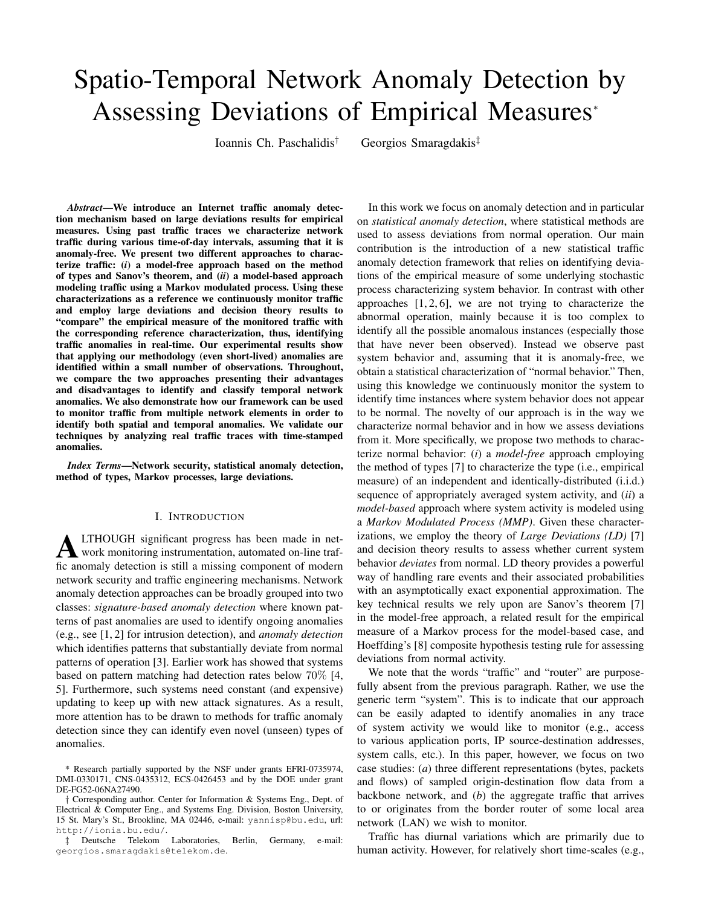# Spatio-Temporal Network Anomaly Detection by Assessing Deviations of Empirical Measures<sup>∗</sup>

Ioannis Ch. Paschalidis† Georgios Smaragdakis‡

*Abstract***—We introduce an Internet traffic anomaly detection mechanism based on large deviations results for empirical measures. Using past traffic traces we characterize network traffic during various time-of-day intervals, assuming that it is anomaly-free. We present two different approaches to characterize traffic: (***i***) a model-free approach based on the method of types and Sanov's theorem, and (***ii***) a model-based approach modeling traffic using a Markov modulated process. Using these characterizations as a reference we continuously monitor traffic and employ large deviations and decision theory results to "compare" the empirical measure of the monitored traffic with the corresponding reference characterization, thus, identifying traffic anomalies in real-time. Our experimental results show that applying our methodology (even short-lived) anomalies are identified within a small number of observations. Throughout, we compare the two approaches presenting their advantages and disadvantages to identify and classify temporal network anomalies. We also demonstrate how our framework can be used to monitor traffic from multiple network elements in order to identify both spatial and temporal anomalies. We validate our techniques by analyzing real traffic traces with time-stamped anomalies.**

*Index Terms***—Network security, statistical anomaly detection, method of types, Markov processes, large deviations.**

# I. INTRODUCTION

**A** LTHOUGH significant progress has been made in net-<br>work monitoring instrumentation, automated on-line traf-LTHOUGH significant progress has been made in netfic anomaly detection is still a missing component of modern network security and traffic engineering mechanisms. Network anomaly detection approaches can be broadly grouped into two classes: *signature-based anomaly detection* where known patterns of past anomalies are used to identify ongoing anomalies (e.g., see [1, 2] for intrusion detection), and *anomaly detection* which identifies patterns that substantially deviate from normal patterns of operation [3]. Earlier work has showed that systems based on pattern matching had detection rates below 70% [4, 5]. Furthermore, such systems need constant (and expensive) updating to keep up with new attack signatures. As a result, more attention has to be drawn to methods for traffic anomaly detection since they can identify even novel (unseen) types of anomalies.

In this work we focus on anomaly detection and in particular on *statistical anomaly detection*, where statistical methods are used to assess deviations from normal operation. Our main contribution is the introduction of a new statistical traffic anomaly detection framework that relies on identifying deviations of the empirical measure of some underlying stochastic process characterizing system behavior. In contrast with other approaches  $[1, 2, 6]$ , we are not trying to characterize the abnormal operation, mainly because it is too complex to identify all the possible anomalous instances (especially those that have never been observed). Instead we observe past system behavior and, assuming that it is anomaly-free, we obtain a statistical characterization of "normal behavior." Then, using this knowledge we continuously monitor the system to identify time instances where system behavior does not appear to be normal. The novelty of our approach is in the way we characterize normal behavior and in how we assess deviations from it. More specifically, we propose two methods to characterize normal behavior: (*i*) a *model-free* approach employing the method of types [7] to characterize the type (i.e., empirical measure) of an independent and identically-distributed (i.i.d.) sequence of appropriately averaged system activity, and (*ii*) a *model-based* approach where system activity is modeled using a *Markov Modulated Process (MMP)*. Given these characterizations, we employ the theory of *Large Deviations (LD)* [7] and decision theory results to assess whether current system behavior *deviates* from normal. LD theory provides a powerful way of handling rare events and their associated probabilities with an asymptotically exact exponential approximation. The key technical results we rely upon are Sanov's theorem [7] in the model-free approach, a related result for the empirical measure of a Markov process for the model-based case, and Hoeffding's [8] composite hypothesis testing rule for assessing deviations from normal activity.

We note that the words "traffic" and "router" are purposefully absent from the previous paragraph. Rather, we use the generic term "system". This is to indicate that our approach can be easily adapted to identify anomalies in any trace of system activity we would like to monitor (e.g., access to various application ports, IP source-destination addresses, system calls, etc.). In this paper, however, we focus on two case studies: (*a*) three different representations (bytes, packets and flows) of sampled origin-destination flow data from a backbone network, and (*b*) the aggregate traffic that arrives to or originates from the border router of some local area network (LAN) we wish to monitor.

Traffic has diurnal variations which are primarily due to human activity. However, for relatively short time-scales (e.g.,

<sup>\*</sup> Research partially supported by the NSF under grants EFRI-0735974, DMI-0330171, CNS-0435312, ECS-0426453 and by the DOE under grant DE-FG52-06NA27490.

<sup>†</sup> Corresponding author. Center for Information & Systems Eng., Dept. of Electrical & Computer Eng., and Systems Eng. Division, Boston University, 15 St. Mary's St., Brookline, MA 02446, e-mail: yannisp@bu.edu, url: http://ionia.bu.edu/.

<sup>‡</sup> Deutsche Telekom Laboratories, Berlin, Germany, e-mail: georgios.smaragdakis@telekom.de.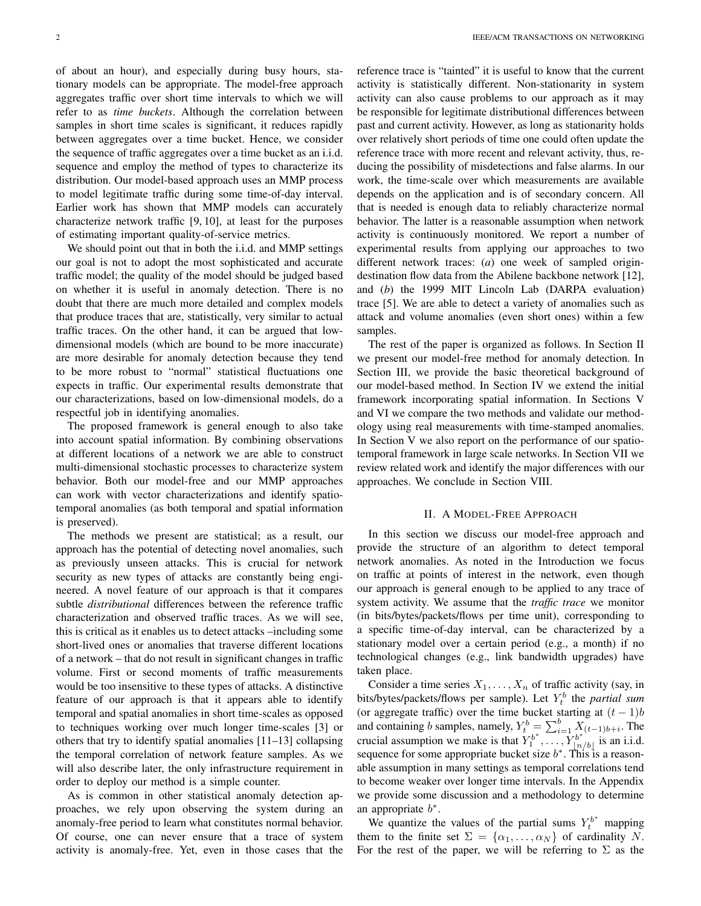of about an hour), and especially during busy hours, stationary models can be appropriate. The model-free approach aggregates traffic over short time intervals to which we will refer to as *time buckets*. Although the correlation between samples in short time scales is significant, it reduces rapidly between aggregates over a time bucket. Hence, we consider the sequence of traffic aggregates over a time bucket as an i.i.d. sequence and employ the method of types to characterize its distribution. Our model-based approach uses an MMP process to model legitimate traffic during some time-of-day interval. Earlier work has shown that MMP models can accurately characterize network traffic [9, 10], at least for the purposes

of estimating important quality-of-service metrics. We should point out that in both the i.i.d. and MMP settings our goal is not to adopt the most sophisticated and accurate traffic model; the quality of the model should be judged based on whether it is useful in anomaly detection. There is no doubt that there are much more detailed and complex models that produce traces that are, statistically, very similar to actual traffic traces. On the other hand, it can be argued that lowdimensional models (which are bound to be more inaccurate) are more desirable for anomaly detection because they tend to be more robust to "normal" statistical fluctuations one expects in traffic. Our experimental results demonstrate that our characterizations, based on low-dimensional models, do a respectful job in identifying anomalies.

The proposed framework is general enough to also take into account spatial information. By combining observations at different locations of a network we are able to construct multi-dimensional stochastic processes to characterize system behavior. Both our model-free and our MMP approaches can work with vector characterizations and identify spatiotemporal anomalies (as both temporal and spatial information is preserved).

The methods we present are statistical; as a result, our approach has the potential of detecting novel anomalies, such as previously unseen attacks. This is crucial for network security as new types of attacks are constantly being engineered. A novel feature of our approach is that it compares subtle *distributional* differences between the reference traffic characterization and observed traffic traces. As we will see, this is critical as it enables us to detect attacks –including some short-lived ones or anomalies that traverse different locations of a network – that do not result in significant changes in traffic volume. First or second moments of traffic measurements would be too insensitive to these types of attacks. A distinctive feature of our approach is that it appears able to identify temporal and spatial anomalies in short time-scales as opposed to techniques working over much longer time-scales [3] or others that try to identify spatial anomalies [11–13] collapsing the temporal correlation of network feature samples. As we will also describe later, the only infrastructure requirement in order to deploy our method is a simple counter.

As is common in other statistical anomaly detection approaches, we rely upon observing the system during an anomaly-free period to learn what constitutes normal behavior. Of course, one can never ensure that a trace of system activity is anomaly-free. Yet, even in those cases that the reference trace is "tainted" it is useful to know that the current activity is statistically different. Non-stationarity in system activity can also cause problems to our approach as it may be responsible for legitimate distributional differences between past and current activity. However, as long as stationarity holds over relatively short periods of time one could often update the reference trace with more recent and relevant activity, thus, reducing the possibility of misdetections and false alarms. In our work, the time-scale over which measurements are available depends on the application and is of secondary concern. All that is needed is enough data to reliably characterize normal behavior. The latter is a reasonable assumption when network activity is continuously monitored. We report a number of experimental results from applying our approaches to two different network traces: (*a*) one week of sampled origindestination flow data from the Abilene backbone network [12], and (*b*) the 1999 MIT Lincoln Lab (DARPA evaluation) trace [5]. We are able to detect a variety of anomalies such as attack and volume anomalies (even short ones) within a few samples.

The rest of the paper is organized as follows. In Section II we present our model-free method for anomaly detection. In Section III, we provide the basic theoretical background of our model-based method. In Section IV we extend the initial framework incorporating spatial information. In Sections V and VI we compare the two methods and validate our methodology using real measurements with time-stamped anomalies. In Section V we also report on the performance of our spatiotemporal framework in large scale networks. In Section VII we review related work and identify the major differences with our approaches. We conclude in Section VIII.

## II. A MODEL-FREE APPROACH

In this section we discuss our model-free approach and provide the structure of an algorithm to detect temporal network anomalies. As noted in the Introduction we focus on traffic at points of interest in the network, even though our approach is general enough to be applied to any trace of system activity. We assume that the *traffic trace* we monitor (in bits/bytes/packets/flows per time unit), corresponding to a specific time-of-day interval, can be characterized by a stationary model over a certain period (e.g., a month) if no technological changes (e.g., link bandwidth upgrades) have taken place.

Consider a time series  $X_1, \ldots, X_n$  of traffic activity (say, in bits/bytes/packets/flows per sample). Let  $Y_t^b$  the *partial sum* (or aggregate traffic) over the time bucket starting at  $(t-1)b$ and containing b samples, namely,  $Y_t^b = \sum_{i=1}^b X_{(t-1)b+i}$ . The crucial assumption we make is that  $Y_1^{b^*}, \ldots, Y_{\lfloor n/b \rfloor}^{b^*}$  is an i.i.d. sequence for some appropriate bucket size  $b^*$ . This is a reasonable assumption in many settings as temporal correlations tend to become weaker over longer time intervals. In the Appendix we provide some discussion and a methodology to determine an appropriate  $b^*$ .

We quantize the values of the partial sums  $Y_t^{b^*}$  mapping them to the finite set  $\Sigma = {\alpha_1, \ldots, \alpha_N}$  of cardinality N. For the rest of the paper, we will be referring to  $\Sigma$  as the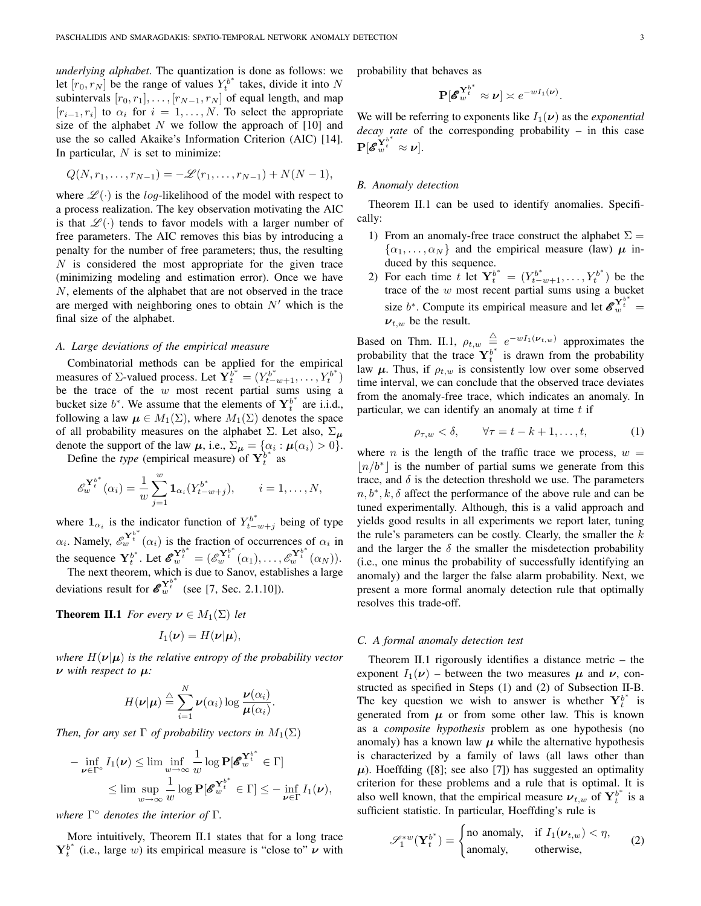*underlying alphabet*. The quantization is done as follows: we let  $[r_0, r_N]$  be the range of values  $Y_t^{b^*}$  takes, divide it into N subintervals  $[r_0, r_1], \ldots, [r_{N-1}, r_N]$  of equal length, and map  $[r_{i-1}, r_i]$  to  $\alpha_i$  for  $i = 1, \ldots, N$ . To select the appropriate size of the alphabet  $N$  we follow the approach of  $[10]$  and use the so called Akaike's Information Criterion (AIC) [14]. In particular,  $N$  is set to minimize:

$$
Q(N, r_1, \ldots, r_{N-1}) = -\mathscr{L}(r_1, \ldots, r_{N-1}) + N(N-1),
$$

where  $\mathscr{L}(\cdot)$  is the *log*-likelihood of the model with respect to a process realization. The key observation motivating the AIC is that  $\mathscr{L}(\cdot)$  tends to favor models with a larger number of free parameters. The AIC removes this bias by introducing a penalty for the number of free parameters; thus, the resulting  $N$  is considered the most appropriate for the given trace (minimizing modeling and estimation error). Once we have N, elements of the alphabet that are not observed in the trace are merged with neighboring ones to obtain  $N'$  which is the final size of the alphabet.

#### *A. Large deviations of the empirical measure*

Combinatorial methods can be applied for the empirical measures of  $\Sigma$ -valued process. Let  $\mathbf{Y}_{t}^{b^*} = (Y_{t-w+1}^{b^*}, \dots, Y_{t}^{b^*})$ be the trace of the  $w$  most recent partial sums using a bucket size  $b^*$ . We assume that the elements of  $Y_t^{b^*}$  are i.i.d., following a law  $\mu \in M_1(\Sigma)$ , where  $M_1(\Sigma)$  denotes the space of all probability measures on the alphabet  $\Sigma$ . Let also,  $\Sigma_{\mu}$ denote the support of the law  $\mu$ , i.e.,  $\Sigma_{\mu} = {\alpha_i : \mu(\alpha_i) > 0}.$ 

Define the *type* (empirical measure) of  $Y_t^{b^*}$  as

$$
\mathscr{E}_{w}^{\mathbf{Y}_{t}^{b^{*}}}(\alpha_{i}) = \frac{1}{w} \sum_{j=1}^{w} \mathbf{1}_{\alpha_{i}}(Y_{t-w+j}^{b^{*}}), \qquad i = 1, \ldots, N,
$$

where  $\mathbf{1}_{\alpha_i}$  is the indicator function of  $Y_{t-w+j}^{b^*}$  being of type  $\alpha_i$ . Namely,  $\mathcal{E}_{w}^{\mathbf{Y}_{t}^{*}}(\alpha_i)$  is the fraction of occurrences of  $\alpha_i$  in the sequence  $\mathbf{Y}_t^{b^*}$ . Let  $\mathbf{\mathscr{E}}_w^{\mathbf{Y}_t^{b^*}} = (\mathscr{E}_w^{\mathbf{Y}_t^{b^*}}(\alpha_1), \dots, \mathscr{E}_w^{\mathbf{Y}_t^{b^*}}(\alpha_N)).$ 

The next theorem, which is due to Sanov, establishes a large deviations result for  $\mathscr{E}_{w}^{Y_{t}^{b^*}}$  (see [7, Sec. 2.1.10]).

**Theorem II.1** *For every*  $v \in M_1(\Sigma)$  *let* 

$$
I_1(\nu)=H(\nu|\mu),
$$

*where*  $H(\nu|\mu)$  *is the relative entropy of the probability vector* ν *with respect to* µ*:*

$$
H(\boldsymbol{\nu}|\boldsymbol{\mu}) \stackrel{\triangle}{=} \sum_{i=1}^N \boldsymbol{\nu}(\alpha_i) \log \frac{\boldsymbol{\nu}(\alpha_i)}{\boldsymbol{\mu}(\alpha_i)}.
$$

*Then, for any set*  $\Gamma$  *of probability vectors in*  $M_1(\Sigma)$ 

$$
- \inf_{\boldsymbol{\nu} \in \Gamma^{\circ}} I_1(\boldsymbol{\nu}) \leq \lim \inf_{w \to \infty} \frac{1}{w} \log \mathbf{P}[\boldsymbol{\mathscr{E}}_w^{\mathbf{Y}_b^{k^*}} \in \Gamma] \leq \lim \sup_{w \to \infty} \frac{1}{w} \log \mathbf{P}[\boldsymbol{\mathscr{E}}_w^{\mathbf{Y}_b^{k^*}} \in \Gamma] \leq - \inf_{\boldsymbol{\nu} \in \Gamma} I_1(\boldsymbol{\nu}),
$$

*where* Γ ◦ *denotes the interior of* Γ*.*

More intuitively, Theorem II.1 states that for a long trace  $\mathbf{Y}_t^{b^*}$  (i.e., large w) its empirical measure is "close to"  $\nu$  with

probability that behaves as

$$
\mathbf{P}[\mathbf{\mathscr{E}}_{w}^{\mathbf{Y}_{t}^{b^{*}}}\approx\boldsymbol{\nu}]\asymp e^{-wI_{1}(\boldsymbol{\nu})}.
$$

We will be referring to exponents like  $I_1(\nu)$  as the *exponential decay rate* of the corresponding probability – in this case  $\mathbf{P}[\boldsymbol{\mathscr{E}}_{w}^{\mathbf{Y}^{b^{*}}_{t}}\approx \nu].$ 

#### *B. Anomaly detection*

Theorem II.1 can be used to identify anomalies. Specifically:

- 1) From an anomaly-free trace construct the alphabet  $\Sigma =$  $\{\alpha_1, \ldots, \alpha_N\}$  and the empirical measure (law)  $\mu$  induced by this sequence.
- 2) For each time t let  $Y_t^{b^*} = (Y_{t-w+1}^{b^*}, \dots, Y_t^{b^*})$  be the trace of the  $w$  most recent partial sums using a bucket size  $b^*$ . Compute its empirical measure and let  $\mathscr{E}_{w}^{Y_t^{b^*}} =$  $v_{t,w}$  be the result.

Based on Thm. II.1,  $\rho_{t,w} \triangleq e^{-wI_1(\nu_{t,w})}$  approximates the probability that the trace  $Y_t^{b^*}$  is drawn from the probability law  $\mu$ . Thus, if  $\rho_{t,w}$  is consistently low over some observed time interval, we can conclude that the observed trace deviates from the anomaly-free trace, which indicates an anomaly. In particular, we can identify an anomaly at time  $t$  if

$$
\rho_{\tau,w} < \delta, \qquad \forall \tau = t - k + 1, \dots, t,\tag{1}
$$

where *n* is the length of the traffic trace we process,  $w =$  $\lfloor n/b^* \rfloor$  is the number of partial sums we generate from this trace, and  $\delta$  is the detection threshold we use. The parameters  $n, b^*, k, \delta$  affect the performance of the above rule and can be tuned experimentally. Although, this is a valid approach and yields good results in all experiments we report later, tuning the rule's parameters can be costly. Clearly, the smaller the  $k$ and the larger the  $\delta$  the smaller the misdetection probability (i.e., one minus the probability of successfully identifying an anomaly) and the larger the false alarm probability. Next, we present a more formal anomaly detection rule that optimally resolves this trade-off.

# *C. A formal anomaly detection test*

Theorem II.1 rigorously identifies a distance metric – the exponent  $I_1(\nu)$  – between the two measures  $\mu$  and  $\nu$ , constructed as specified in Steps (1) and (2) of Subsection II-B. The key question we wish to answer is whether  $Y_t^{b^*}$  is generated from  $\mu$  or from some other law. This is known as a *composite hypothesis* problem as one hypothesis (no anomaly) has a known law  $\mu$  while the alternative hypothesis is characterized by a family of laws (all laws other than  $\mu$ ). Hoeffding ([8]; see also [7]) has suggested an optimality criterion for these problems and a rule that is optimal. It is also well known, that the empirical measure  $v_{t,w}$  of  $Y_t^{b^*}$  is a sufficient statistic. In particular, Hoeffding's rule is

$$
\mathcal{S}_1^{*w}(\mathbf{Y}_t^{b^*}) = \begin{cases} \text{no anomaly,} & \text{if } I_1(\boldsymbol{\nu}_{t,w}) < \eta, \\ \text{anomaly,} & \text{otherwise,} \end{cases} \tag{2}
$$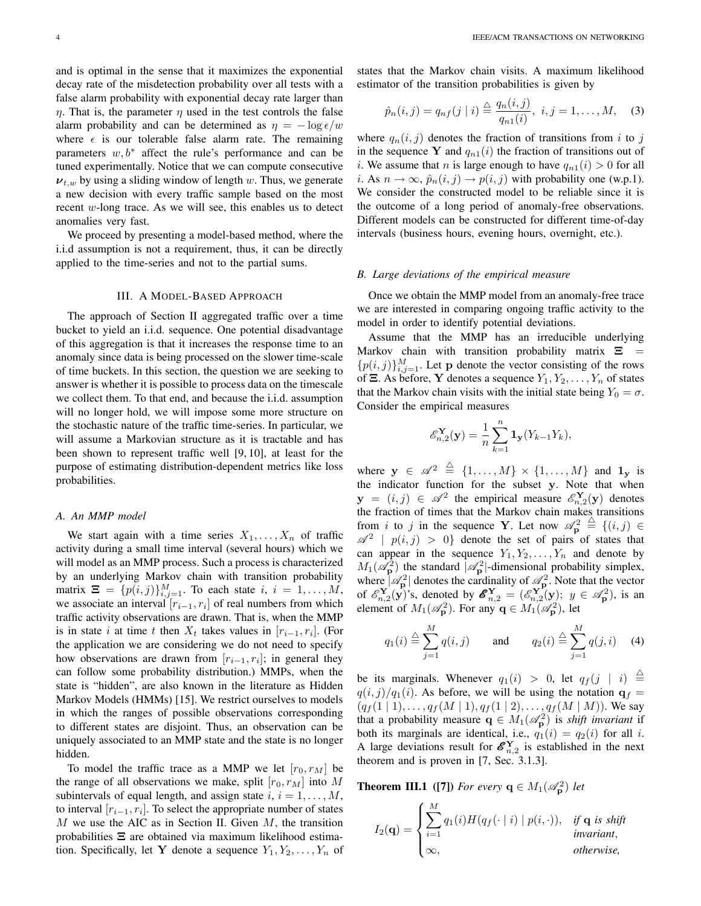and is optimal in the sense that it maximizes the exponential decay rate of the misdetection probability over all tests with a false alarm probability with exponential decay rate larger than  $\eta$ . That is, the parameter  $\eta$  used in the test controls the false alarm probability and can be determined as  $\eta = -\log \epsilon/w$ where  $\epsilon$  is our tolerable false alarm rate. The remaining parameters  $w, b^*$  affect the rule's performance and can be tuned experimentally. Notice that we can compute consecutive  $v_{t,w}$  by using a sliding window of length w. Thus, we generate a new decision with every traffic sample based on the most recent w-long trace. As we will see, this enables us to detect anomalies very fast.

We proceed by presenting a model-based method, where the i.i.d assumption is not a requirement, thus, it can be directly applied to the time-series and not to the partial sums.

# III. A MODEL-BASED APPROACH

The approach of Section II aggregated traffic over a time bucket to yield an i.i.d. sequence. One potential disadvantage of this aggregation is that it increases the response time to an anomaly since data is being processed on the slower time-scale of time buckets. In this section, the question we are seeking to answer is whether it is possible to process data on the timescale we collect them. To that end, and because the i.i.d. assumption will no longer hold, we will impose some more structure on the stochastic nature of the traffic time-series. In particular, we will assume a Markovian structure as it is tractable and has been shown to represent traffic well [9, 10], at least for the purpose of estimating distribution-dependent metrics like loss probabilities.

## *A. An MMP model*

We start again with a time series  $X_1, \ldots, X_n$  of traffic activity during a small time interval (several hours) which we will model as an MMP process. Such a process is characterized by an underlying Markov chain with transition probability matrix  $\mathbf{\Xi} = \{p(i, j)\}_{i, j=1}^M$ . To each state  $i, i = 1, \dots, M$ , we associate an interval  $[r_{i-1}, r_i]$  of real numbers from which traffic activity observations are drawn. That is, when the MMP is in state i at time t then  $X_t$  takes values in  $[r_{i-1}, r_i]$ . (For the application we are considering we do not need to specify how observations are drawn from  $[r_{i-1}, r_i]$ ; in general they can follow some probability distribution.) MMPs, when the state is "hidden", are also known in the literature as Hidden Markov Models (HMMs) [15]. We restrict ourselves to models in which the ranges of possible observations corresponding to different states are disjoint. Thus, an observation can be uniquely associated to an MMP state and the state is no longer hidden.

To model the traffic trace as a MMP we let  $[r_0, r_M]$  be the range of all observations we make, split  $[r_0, r_M]$  into M subintervals of equal length, and assign state  $i, i = 1, \ldots, M$ , to interval  $[r_{i-1}, r_i]$ . To select the appropriate number of states  $M$  we use the AIC as in Section II. Given  $M$ , the transition probabilities Ξ are obtained via maximum likelihood estimation. Specifically, let Y denote a sequence  $Y_1, Y_2, \ldots, Y_n$  of states that the Markov chain visits. A maximum likelihood estimator of the transition probabilities is given by

$$
\hat{p}_n(i,j) = q_{nf}(j \mid i) \stackrel{\triangle}{=} \frac{q_n(i,j)}{q_{n1}(i)}, \ i, j = 1, \dots, M,
$$
 (3)

where  $q_n(i, j)$  denotes the fraction of transitions from i to j in the sequence Y and  $q_{n1}(i)$  the fraction of transitions out of *i*. We assume that *n* is large enough to have  $q_{n1}(i) > 0$  for all *i*. As  $n \to \infty$ ,  $\hat{p}_n(i, j) \to p(i, j)$  with probability one (w.p.1). We consider the constructed model to be reliable since it is the outcome of a long period of anomaly-free observations. Different models can be constructed for different time-of-day intervals (business hours, evening hours, overnight, etc.).

#### *B. Large deviations of the empirical measure*

Once we obtain the MMP model from an anomaly-free trace we are interested in comparing ongoing traffic activity to the model in order to identify potential deviations.

Assume that the MMP has an irreducible underlying Markov chain with transition probability matrix  $\Xi$  =  ${p(i, j)}_{i, j=1}^M$ . Let p denote the vector consisting of the rows of  $\Xi$ . As before, Y denotes a sequence  $Y_1, Y_2, \ldots, Y_n$  of states that the Markov chain visits with the initial state being  $Y_0 = \sigma$ . Consider the empirical measures

$$
\mathscr{E}_{n,2}^{\mathbf{Y}}(\mathbf{y}) = \frac{1}{n} \sum_{k=1}^{n} \mathbf{1}_{\mathbf{y}} (Y_{k-1} Y_k),
$$

where  $y \in \mathscr{A}^2 \stackrel{\triangle}{=} \{1, ..., M\} \times \{1, ..., M\}$  and  $\mathbf{1}_y$  is the indicator function for the subset y. Note that when  $y = (i, j) \in \mathcal{A}^2$  the empirical measure  $\mathcal{E}_{n,2}^{\mathbf{Y}}(\mathbf{y})$  denotes the fraction of times that the Markov chain makes transitions from *i* to *j* in the sequence **Y**. Let now  $\mathscr{A}_{\mathbf{p}}^2$ from *i* to *j* in the sequence **Y**. Let now  $\mathscr{A}_{\mathbf{p}}^2 \triangleq \{(i, j) \in \mathscr{A}^2 \mid p(i, j) > 0\}$  denote the set of pairs of states that can appear in the sequence  $Y_1, Y_2, \ldots, Y_n$  and denote by  $M_1(\mathscr{A}_{\mathbf{p}}^2)$  the standard  $|\mathscr{A}_{\mathbf{p}}^2|$ -dimensional probability simplex, where  $\mathcal{A}_{\mathbf{p}}^2$  denotes the cardinality of  $\mathcal{A}_{\mathbf{p}}^2$ . Note that the vector of  $\mathscr{E}_{n,2}^{\mathbf{Y}}(\mathbf{y})$ 's, denoted by  $\mathscr{E}_{n,2}^{\mathbf{Y}} = (\mathscr{E}_{n,2}^{\mathbf{Y}}(\mathbf{y}); y \in \mathscr{A}_{\mathbf{p}}^2)$ , is an element of  $M_1(\mathscr{A}_{\mathbf{p}}^2)$ . For any  $\mathbf{q} \in M_1(\mathscr{A}_{\mathbf{p}}^2)$ , let

$$
q_1(i) \stackrel{\triangle}{=} \sum_{j=1}^M q(i,j)
$$
 and  $q_2(i) \stackrel{\triangle}{=} \sum_{j=1}^M q(j,i)$  (4)

be its marginals. Whenever  $q_1(i) > 0$ , let  $q_f(j \mid i) \triangleq$  $q(i, j)/q_1(i)$ . As before, we will be using the notation  $q_f =$  $(q_f(1 | 1), \ldots, q_f(M | 1), q_f(1 | 2), \ldots, q_f(M | M)).$  We say that a probability measure  $q \in M_1(\mathcal{A}_p^2)$  is *shift invariant* if both its marginals are identical, i.e.,  $q_1(i) = q_2(i)$  for all i. A large deviations result for  $\mathscr{E}_{n,2}^{\mathbf{Y}}$  is established in the next theorem and is proven in [7, Sec. 3.1.3].

**Theorem III.1** ([7]) *For every*  $q \in M_1(\mathcal{A}_{p}^2)$  *let* 

$$
I_2(\mathbf{q}) = \begin{cases} \sum_{i=1}^{M} q_1(i) H(q_f(\cdot \mid i) \mid p(i, \cdot)), & \text{if } \mathbf{q} \text{ is shift} \\ \infty, & \text{otherwise,} \end{cases}
$$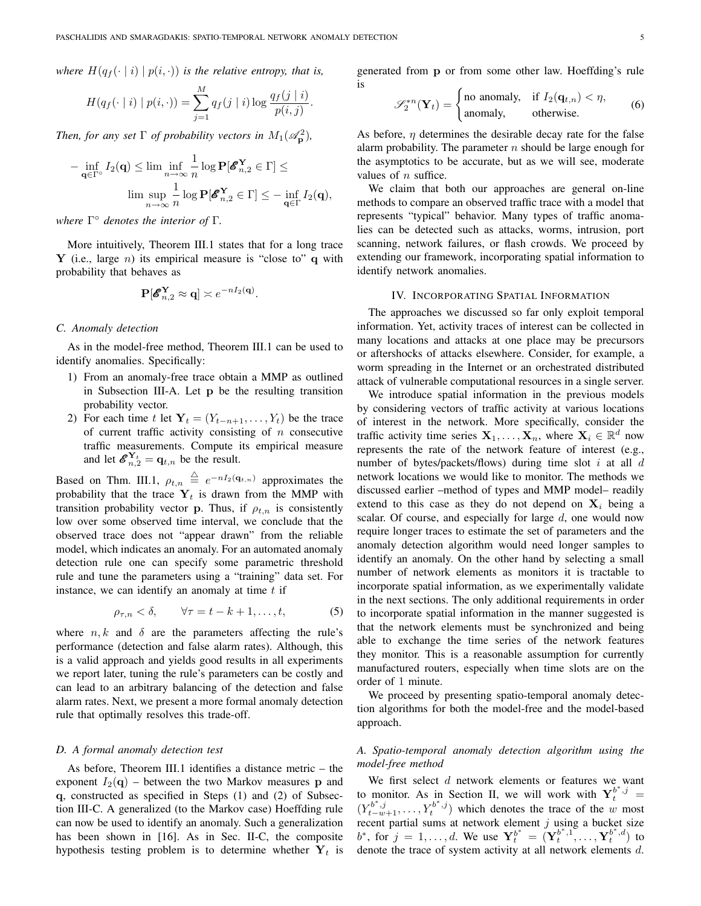.

*where*  $H(q_f(\cdot | i) | p(i, \cdot))$  *is the relative entropy, that is,* 

$$
H(q_f(\cdot \mid i) \mid p(i, \cdot)) = \sum_{j=1}^{M} q_f(j \mid i) \log \frac{q_f(j \mid i)}{p(i, j)}
$$

*Then, for any set*  $\Gamma$  *of probability vectors in*  $M_1(\mathscr{A}_{\mathbf{p}}^2)$ *,* 

$$
- \inf_{\mathbf{q} \in \Gamma^{\circ}} I_2(\mathbf{q}) \le \lim \inf_{n \to \infty} \frac{1}{n} \log \mathbf{P}[\mathscr{E}_{n,2}^{\mathbf{Y}} \in \Gamma] \le
$$
  

$$
\lim \sup_{n \to \infty} \frac{1}{n} \log \mathbf{P}[\mathscr{E}_{n,2}^{\mathbf{Y}} \in \Gamma] \le - \inf_{\mathbf{q} \in \Gamma} I_2(\mathbf{q}),
$$

*where* Γ ◦ *denotes the interior of* Γ*.*

More intuitively, Theorem III.1 states that for a long trace Y (i.e., large  $n$ ) its empirical measure is "close to" q with probability that behaves as

$$
\mathbf{P}[\mathbf{E}_{n,2}^{\mathbf{Y}}\approx \mathbf{q}]\asymp e^{-nI_2(\mathbf{q})}.
$$

#### *C. Anomaly detection*

As in the model-free method, Theorem III.1 can be used to identify anomalies. Specifically:

- 1) From an anomaly-free trace obtain a MMP as outlined in Subsection III-A. Let p be the resulting transition probability vector.
- 2) For each time t let  $Y_t = (Y_{t-n+1}, \ldots, Y_t)$  be the trace of current traffic activity consisting of  $n$  consecutive traffic measurements. Compute its empirical measure and let  $\mathscr{E}_{n,2}^{\mathbf{Y}_t} = \mathbf{q}_{t,n}$  be the result.

Based on Thm. III.1,  $\rho_{t,n} \triangleq e^{-nI_2(\mathbf{q}_{t,n})}$  approximates the probability that the trace  $Y_t$  is drawn from the MMP with transition probability vector **p**. Thus, if  $\rho_{t,n}$  is consistently low over some observed time interval, we conclude that the observed trace does not "appear drawn" from the reliable model, which indicates an anomaly. For an automated anomaly detection rule one can specify some parametric threshold rule and tune the parameters using a "training" data set. For instance, we can identify an anomaly at time  $t$  if

$$
\rho_{\tau,n} < \delta, \qquad \forall \tau = t - k + 1, \dots, t,\tag{5}
$$

where  $n, k$  and  $\delta$  are the parameters affecting the rule's performance (detection and false alarm rates). Although, this is a valid approach and yields good results in all experiments we report later, tuning the rule's parameters can be costly and can lead to an arbitrary balancing of the detection and false alarm rates. Next, we present a more formal anomaly detection rule that optimally resolves this trade-off.

# *D. A formal anomaly detection test*

As before, Theorem III.1 identifies a distance metric – the exponent  $I_2(q)$  – between the two Markov measures p and q, constructed as specified in Steps (1) and (2) of Subsection III-C. A generalized (to the Markov case) Hoeffding rule can now be used to identify an anomaly. Such a generalization has been shown in [16]. As in Sec. II-C, the composite hypothesis testing problem is to determine whether  $Y_t$  is generated from p or from some other law. Hoeffding's rule is

$$
\mathcal{S}_2^{*n}(\mathbf{Y}_t) = \begin{cases} \text{no anomaly,} & \text{if } I_2(\mathbf{q}_{t,n}) < \eta, \\ \text{anomaly,} & \text{otherwise.} \end{cases} \tag{6}
$$

As before,  $\eta$  determines the desirable decay rate for the false alarm probability. The parameter  $n$  should be large enough for the asymptotics to be accurate, but as we will see, moderate values of  $n$  suffice.

We claim that both our approaches are general on-line methods to compare an observed traffic trace with a model that represents "typical" behavior. Many types of traffic anomalies can be detected such as attacks, worms, intrusion, port scanning, network failures, or flash crowds. We proceed by extending our framework, incorporating spatial information to identify network anomalies.

# IV. INCORPORATING SPATIAL INFORMATION

The approaches we discussed so far only exploit temporal information. Yet, activity traces of interest can be collected in many locations and attacks at one place may be precursors or aftershocks of attacks elsewhere. Consider, for example, a worm spreading in the Internet or an orchestrated distributed attack of vulnerable computational resources in a single server.

We introduce spatial information in the previous models by considering vectors of traffic activity at various locations of interest in the network. More specifically, consider the traffic activity time series  $X_1, \ldots, X_n$ , where  $X_i \in \mathbb{R}^d$  now represents the rate of the network feature of interest (e.g., number of bytes/packets/flows) during time slot i at all  $d$ network locations we would like to monitor. The methods we discussed earlier –method of types and MMP model– readily extend to this case as they do not depend on  $X_i$  being a scalar. Of course, and especially for large  $d$ , one would now require longer traces to estimate the set of parameters and the anomaly detection algorithm would need longer samples to identify an anomaly. On the other hand by selecting a small number of network elements as monitors it is tractable to incorporate spatial information, as we experimentally validate in the next sections. The only additional requirements in order to incorporate spatial information in the manner suggested is that the network elements must be synchronized and being able to exchange the time series of the network features they monitor. This is a reasonable assumption for currently manufactured routers, especially when time slots are on the order of 1 minute.

We proceed by presenting spatio-temporal anomaly detection algorithms for both the model-free and the model-based approach.

# *A. Spatio-temporal anomaly detection algorithm using the model-free method*

We first select  $d$  network elements or features we want to monitor. As in Section II, we will work with  $Y_t^{b^*,j} =$  $(Y_{t-w+1}^{b^*,j}, \ldots, Y_t^{b^*,j})$  which denotes the trace of the w most recent partial sums at network element  $j$  using a bucket size  $b^*$ , for  $j = 1, ..., d$ . We use  $\mathbf{Y}_t^{b^*} = (\mathbf{Y}_t^{b^*,1}, ..., \mathbf{Y}_t^{b^*,d})$  to denote the trace of system activity at all network elements d.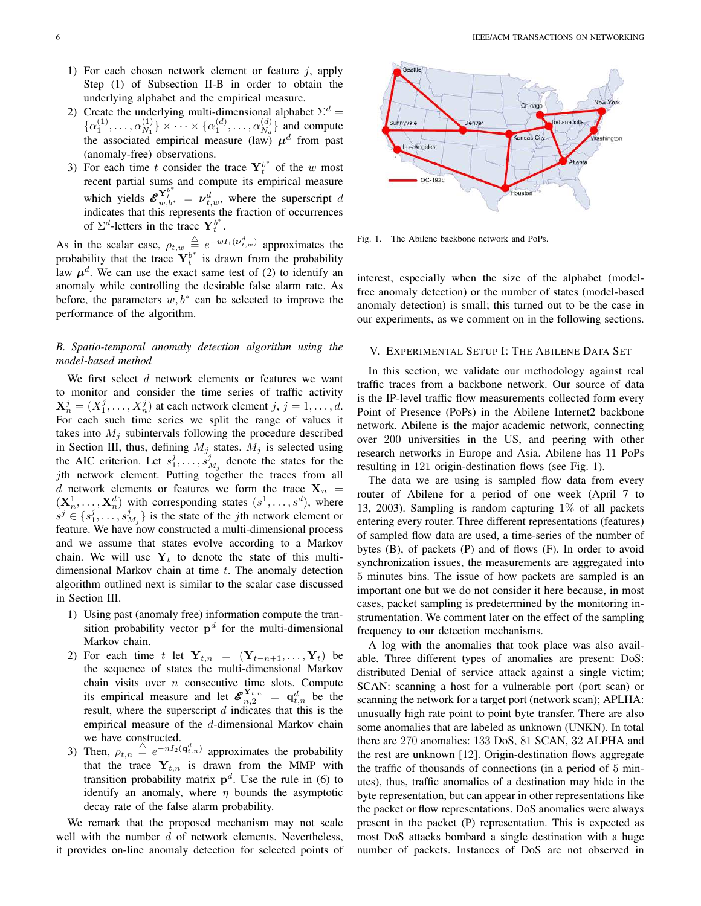- 1) For each chosen network element or feature  $j$ , apply Step (1) of Subsection II-B in order to obtain the underlying alphabet and the empirical measure.
- 2) Create the underlying multi-dimensional alphabet  $\Sigma^d$  =  $\{\alpha_1^{(1)}, \ldots, \alpha_{N_1}^{(1)}\}$  $\{ \alpha_1^{(1)} \} \times \cdots \times \{ \alpha_1^{(d)}, \ldots, \alpha_{N_d}^{(d)} \}$  $\binom{a}{N_d}$  and compute the associated empirical measure (law)  $\mu^d$  from past (anomaly-free) observations.
- 3) For each time t consider the trace  $Y_t^{b^*}$  of the w most recent partial sums and compute its empirical measure which yields  $\mathscr{E}_{w,b^*}^{Y_t^{b^*}} = \nu_{t,w}^d$ , where the superscript d indicates that this represents the fraction of occurrences of  $\Sigma^d$ -letters in the trace  $\mathbf{Y}_t^{b^*}$ .

As in the scalar case,  $\rho_{t,w} \triangleq e^{-wI_1(\nu_{t,w}^d)}$  approximates the probability that the trace  $Y_t^{b^*}$  is drawn from the probability law  $\mu^d$ . We can use the exact same test of (2) to identify an anomaly while controlling the desirable false alarm rate. As before, the parameters  $w, b^*$  can be selected to improve the performance of the algorithm.

# *B. Spatio-temporal anomaly detection algorithm using the model-based method*

We first select  $d$  network elements or features we want to monitor and consider the time series of traffic activity  $\mathbf{X}_n^j = (X_1^j, \dots, X_n^j)$  at each network element  $j, j = 1, \dots, d$ . For each such time series we split the range of values it takes into  $M_i$  subintervals following the procedure described in Section III, thus, defining  $M_j$  states.  $M_j$  is selected using the AIC criterion. Let  $s_1^j, \ldots, s_{M_j}^j$  denote the states for the jth network element. Putting together the traces from all d network elements or features we form the trace  $X_n =$  $(X_n^1, \ldots, X_n^d)$  with corresponding states  $(s^1, \ldots, s^d)$ , where  $s^j \in \{s_1^j, \ldots, s_{M_j}^j\}$  is the state of the *j*th network element or feature. We have now constructed a multi-dimensional process and we assume that states evolve according to a Markov chain. We will use  $Y_t$  to denote the state of this multidimensional Markov chain at time  $t$ . The anomaly detection algorithm outlined next is similar to the scalar case discussed in Section III.

- 1) Using past (anomaly free) information compute the transition probability vector  $p<sup>d</sup>$  for the multi-dimensional Markov chain.
- 2) For each time t let  $Y_{t,n} = (Y_{t-n+1}, \ldots, Y_t)$  be the sequence of states the multi-dimensional Markov chain visits over  $n$  consecutive time slots. Compute its empirical measure and let  $\mathscr{E}_{n,2}^{\mathbf{Y}_{t,n}} = \mathbf{q}_{t,n}^d$  be the result, where the superscript  $d$  indicates that this is the empirical measure of the d-dimensional Markov chain we have constructed.
- 3) Then,  $\rho_{t,n} \triangleq e^{-nI_2(\mathbf{q}_{t,n}^d)}$  approximates the probability that the trace  $Y_{t,n}$  is drawn from the MMP with transition probability matrix  $p<sup>d</sup>$ . Use the rule in (6) to identify an anomaly, where  $\eta$  bounds the asymptotic decay rate of the false alarm probability.

We remark that the proposed mechanism may not scale well with the number  $d$  of network elements. Nevertheless, it provides on-line anomaly detection for selected points of



Fig. 1. The Abilene backbone network and PoPs.

interest, especially when the size of the alphabet (modelfree anomaly detection) or the number of states (model-based anomaly detection) is small; this turned out to be the case in our experiments, as we comment on in the following sections.

## V. EXPERIMENTAL SETUP I: THE ABILENE DATA SET

In this section, we validate our methodology against real traffic traces from a backbone network. Our source of data is the IP-level traffic flow measurements collected form every Point of Presence (PoPs) in the Abilene Internet2 backbone network. Abilene is the major academic network, connecting over 200 universities in the US, and peering with other research networks in Europe and Asia. Abilene has 11 PoPs resulting in 121 origin-destination flows (see Fig. 1).

The data we are using is sampled flow data from every router of Abilene for a period of one week (April 7 to 13, 2003). Sampling is random capturing 1% of all packets entering every router. Three different representations (features) of sampled flow data are used, a time-series of the number of bytes (B), of packets (P) and of flows (F). In order to avoid synchronization issues, the measurements are aggregated into 5 minutes bins. The issue of how packets are sampled is an important one but we do not consider it here because, in most cases, packet sampling is predetermined by the monitoring instrumentation. We comment later on the effect of the sampling frequency to our detection mechanisms.

A log with the anomalies that took place was also available. Three different types of anomalies are present: DoS: distributed Denial of service attack against a single victim; SCAN: scanning a host for a vulnerable port (port scan) or scanning the network for a target port (network scan); APLHA: unusually high rate point to point byte transfer. There are also some anomalies that are labeled as unknown (UNKN). In total there are 270 anomalies: 133 DoS, 81 SCAN, 32 ALPHA and the rest are unknown [12]. Origin-destination flows aggregate the traffic of thousands of connections (in a period of 5 minutes), thus, traffic anomalies of a destination may hide in the byte representation, but can appear in other representations like the packet or flow representations. DoS anomalies were always present in the packet (P) representation. This is expected as most DoS attacks bombard a single destination with a huge number of packets. Instances of DoS are not observed in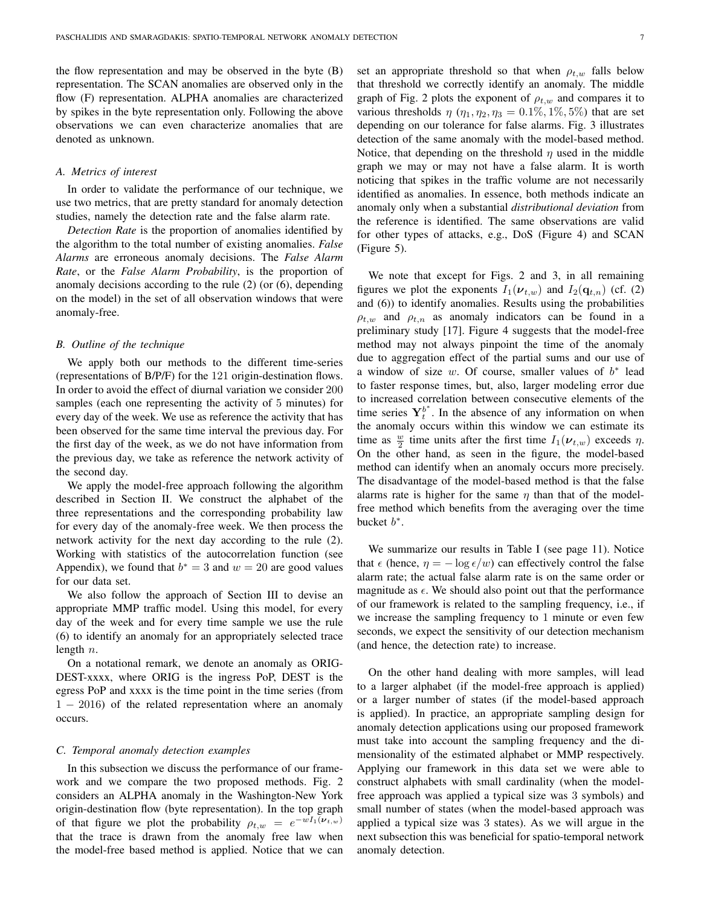the flow representation and may be observed in the byte (B) representation. The SCAN anomalies are observed only in the flow (F) representation. ALPHA anomalies are characterized by spikes in the byte representation only. Following the above observations we can even characterize anomalies that are denoted as unknown.

#### *A. Metrics of interest*

In order to validate the performance of our technique, we use two metrics, that are pretty standard for anomaly detection studies, namely the detection rate and the false alarm rate.

*Detection Rate* is the proportion of anomalies identified by the algorithm to the total number of existing anomalies. *False Alarms* are erroneous anomaly decisions. The *False Alarm Rate*, or the *False Alarm Probability*, is the proportion of anomaly decisions according to the rule (2) (or (6), depending on the model) in the set of all observation windows that were anomaly-free.

## *B. Outline of the technique*

We apply both our methods to the different time-series (representations of B/P/F) for the 121 origin-destination flows. In order to avoid the effect of diurnal variation we consider 200 samples (each one representing the activity of 5 minutes) for every day of the week. We use as reference the activity that has been observed for the same time interval the previous day. For the first day of the week, as we do not have information from the previous day, we take as reference the network activity of the second day.

We apply the model-free approach following the algorithm described in Section II. We construct the alphabet of the three representations and the corresponding probability law for every day of the anomaly-free week. We then process the network activity for the next day according to the rule (2). Working with statistics of the autocorrelation function (see Appendix), we found that  $b^* = 3$  and  $w = 20$  are good values for our data set.

We also follow the approach of Section III to devise an appropriate MMP traffic model. Using this model, for every day of the week and for every time sample we use the rule (6) to identify an anomaly for an appropriately selected trace length  $n$ .

On a notational remark, we denote an anomaly as ORIG-DEST-xxxx, where ORIG is the ingress PoP, DEST is the egress PoP and xxxx is the time point in the time series (from 1 − 2016) of the related representation where an anomaly occurs.

#### *C. Temporal anomaly detection examples*

In this subsection we discuss the performance of our framework and we compare the two proposed methods. Fig. 2 considers an ALPHA anomaly in the Washington-New York origin-destination flow (byte representation). In the top graph of that figure we plot the probability  $\rho_{t,w} = e^{-wI_1(\boldsymbol{\nu}_{t,w})}$ that the trace is drawn from the anomaly free law when the model-free based method is applied. Notice that we can set an appropriate threshold so that when  $\rho_{t,w}$  falls below that threshold we correctly identify an anomaly. The middle graph of Fig. 2 plots the exponent of  $\rho_{t,w}$  and compares it to various thresholds  $\eta$  ( $\eta_1, \eta_2, \eta_3 = 0.1\%, 1\%, 5\%$ ) that are set depending on our tolerance for false alarms. Fig. 3 illustrates detection of the same anomaly with the model-based method. Notice, that depending on the threshold  $\eta$  used in the middle graph we may or may not have a false alarm. It is worth noticing that spikes in the traffic volume are not necessarily identified as anomalies. In essence, both methods indicate an anomaly only when a substantial *distributional deviation* from the reference is identified. The same observations are valid for other types of attacks, e.g., DoS (Figure 4) and SCAN (Figure 5).

We note that except for Figs. 2 and 3, in all remaining figures we plot the exponents  $I_1(\nu_{t,w})$  and  $I_2(\mathbf{q}_{t,n})$  (cf. (2) and (6)) to identify anomalies. Results using the probabilities  $\rho_{t,w}$  and  $\rho_{t,n}$  as anomaly indicators can be found in a preliminary study [17]. Figure 4 suggests that the model-free method may not always pinpoint the time of the anomaly due to aggregation effect of the partial sums and our use of a window of size  $w$ . Of course, smaller values of  $b^*$  lead to faster response times, but, also, larger modeling error due to increased correlation between consecutive elements of the time series  $Y_t^{b^*}$ . In the absence of any information on when the anomaly occurs within this window we can estimate its time as  $\frac{w}{2}$  time units after the first time  $I_1(\nu_{t,w})$  exceeds  $\eta$ . On the other hand, as seen in the figure, the model-based method can identify when an anomaly occurs more precisely. The disadvantage of the model-based method is that the false alarms rate is higher for the same  $\eta$  than that of the modelfree method which benefits from the averaging over the time bucket  $b^*$ .

We summarize our results in Table I (see page 11). Notice that  $\epsilon$  (hence,  $\eta = -\log \epsilon/w$ ) can effectively control the false alarm rate; the actual false alarm rate is on the same order or magnitude as  $\epsilon$ . We should also point out that the performance of our framework is related to the sampling frequency, i.e., if we increase the sampling frequency to 1 minute or even few seconds, we expect the sensitivity of our detection mechanism (and hence, the detection rate) to increase.

On the other hand dealing with more samples, will lead to a larger alphabet (if the model-free approach is applied) or a larger number of states (if the model-based approach is applied). In practice, an appropriate sampling design for anomaly detection applications using our proposed framework must take into account the sampling frequency and the dimensionality of the estimated alphabet or MMP respectively. Applying our framework in this data set we were able to construct alphabets with small cardinality (when the modelfree approach was applied a typical size was 3 symbols) and small number of states (when the model-based approach was applied a typical size was 3 states). As we will argue in the next subsection this was beneficial for spatio-temporal network anomaly detection.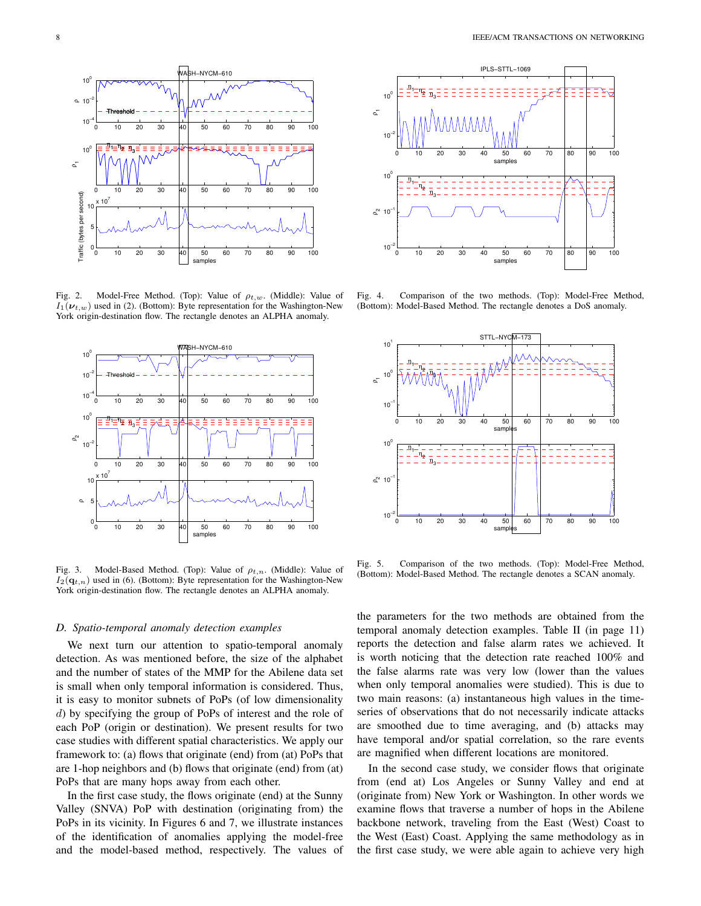

Fig. 2. Model-Free Method. (Top): Value of  $\rho_{t,w}$ . (Middle): Value of  $I_1(\nu_{t,w})$  used in (2). (Bottom): Byte representation for the Washington-New York origin-destination flow. The rectangle denotes an ALPHA anomaly.



Fig. 3. Model-Based Method. (Top): Value of  $\rho_{t,n}$ . (Middle): Value of  $I_2(\mathbf{q}_{t,n})$  used in (6). (Bottom): Byte representation for the Washington-New York origin-destination flow. The rectangle denotes an ALPHA anomaly.

## *D. Spatio-temporal anomaly detection examples*

We next turn our attention to spatio-temporal anomaly detection. As was mentioned before, the size of the alphabet and the number of states of the MMP for the Abilene data set is small when only temporal information is considered. Thus, it is easy to monitor subnets of PoPs (of low dimensionality d) by specifying the group of PoPs of interest and the role of each PoP (origin or destination). We present results for two case studies with different spatial characteristics. We apply our framework to: (a) flows that originate (end) from (at) PoPs that are 1-hop neighbors and (b) flows that originate (end) from (at) PoPs that are many hops away from each other.

In the first case study, the flows originate (end) at the Sunny Valley (SNVA) PoP with destination (originating from) the PoPs in its vicinity. In Figures 6 and 7, we illustrate instances of the identification of anomalies applying the model-free and the model-based method, respectively. The values of



Fig. 4. Comparison of the two methods. (Top): Model-Free Method, (Bottom): Model-Based Method. The rectangle denotes a DoS anomaly.



Fig. 5. Comparison of the two methods. (Top): Model-Free Method, (Bottom): Model-Based Method. The rectangle denotes a SCAN anomaly.

the parameters for the two methods are obtained from the temporal anomaly detection examples. Table II (in page 11) reports the detection and false alarm rates we achieved. It is worth noticing that the detection rate reached 100% and the false alarms rate was very low (lower than the values when only temporal anomalies were studied). This is due to two main reasons: (a) instantaneous high values in the timeseries of observations that do not necessarily indicate attacks are smoothed due to time averaging, and (b) attacks may have temporal and/or spatial correlation, so the rare events are magnified when different locations are monitored.

In the second case study, we consider flows that originate from (end at) Los Angeles or Sunny Valley and end at (originate from) New York or Washington. In other words we examine flows that traverse a number of hops in the Abilene backbone network, traveling from the East (West) Coast to the West (East) Coast. Applying the same methodology as in the first case study, we were able again to achieve very high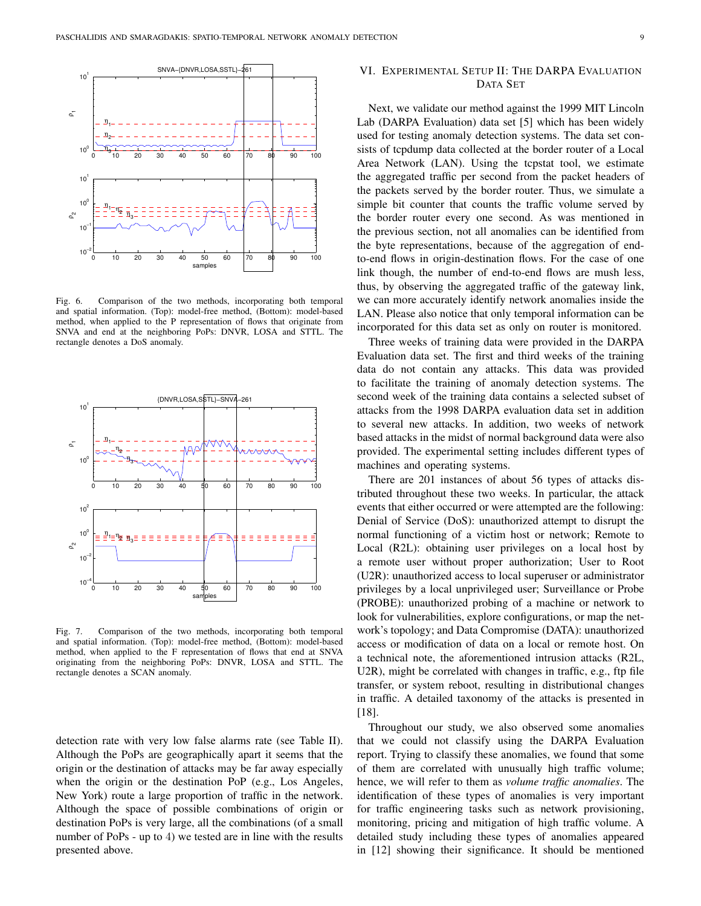

Fig. 6. Comparison of the two methods, incorporating both temporal and spatial information. (Top): model-free method, (Bottom): model-based method, when applied to the P representation of flows that originate from SNVA and end at the neighboring PoPs: DNVR, LOSA and STTL. The rectangle denotes a DoS anomaly.



Fig. 7. Comparison of the two methods, incorporating both temporal and spatial information. (Top): model-free method, (Bottom): model-based method, when applied to the F representation of flows that end at SNVA originating from the neighboring PoPs: DNVR, LOSA and STTL. The rectangle denotes a SCAN anomaly.

detection rate with very low false alarms rate (see Table II). Although the PoPs are geographically apart it seems that the origin or the destination of attacks may be far away especially when the origin or the destination PoP (e.g., Los Angeles, New York) route a large proportion of traffic in the network. Although the space of possible combinations of origin or destination PoPs is very large, all the combinations (of a small number of PoPs - up to 4) we tested are in line with the results presented above.

# VI. EXPERIMENTAL SETUP II: THE DARPA EVALUATION DATA SET

Next, we validate our method against the 1999 MIT Lincoln Lab (DARPA Evaluation) data set [5] which has been widely used for testing anomaly detection systems. The data set consists of tcpdump data collected at the border router of a Local Area Network (LAN). Using the tcpstat tool, we estimate the aggregated traffic per second from the packet headers of the packets served by the border router. Thus, we simulate a simple bit counter that counts the traffic volume served by the border router every one second. As was mentioned in the previous section, not all anomalies can be identified from the byte representations, because of the aggregation of endto-end flows in origin-destination flows. For the case of one link though, the number of end-to-end flows are mush less, thus, by observing the aggregated traffic of the gateway link, we can more accurately identify network anomalies inside the LAN. Please also notice that only temporal information can be incorporated for this data set as only on router is monitored.

Three weeks of training data were provided in the DARPA Evaluation data set. The first and third weeks of the training data do not contain any attacks. This data was provided to facilitate the training of anomaly detection systems. The second week of the training data contains a selected subset of attacks from the 1998 DARPA evaluation data set in addition to several new attacks. In addition, two weeks of network based attacks in the midst of normal background data were also provided. The experimental setting includes different types of machines and operating systems.

There are 201 instances of about 56 types of attacks distributed throughout these two weeks. In particular, the attack events that either occurred or were attempted are the following: Denial of Service (DoS): unauthorized attempt to disrupt the normal functioning of a victim host or network; Remote to Local (R2L): obtaining user privileges on a local host by a remote user without proper authorization; User to Root (U2R): unauthorized access to local superuser or administrator privileges by a local unprivileged user; Surveillance or Probe (PROBE): unauthorized probing of a machine or network to look for vulnerabilities, explore configurations, or map the network's topology; and Data Compromise (DATA): unauthorized access or modification of data on a local or remote host. On a technical note, the aforementioned intrusion attacks (R2L, U2R), might be correlated with changes in traffic, e.g., ftp file transfer, or system reboot, resulting in distributional changes in traffic. A detailed taxonomy of the attacks is presented in [18].

Throughout our study, we also observed some anomalies that we could not classify using the DARPA Evaluation report. Trying to classify these anomalies, we found that some of them are correlated with unusually high traffic volume; hence, we will refer to them as *volume traffic anomalies*. The identification of these types of anomalies is very important for traffic engineering tasks such as network provisioning, monitoring, pricing and mitigation of high traffic volume. A detailed study including these types of anomalies appeared in [12] showing their significance. It should be mentioned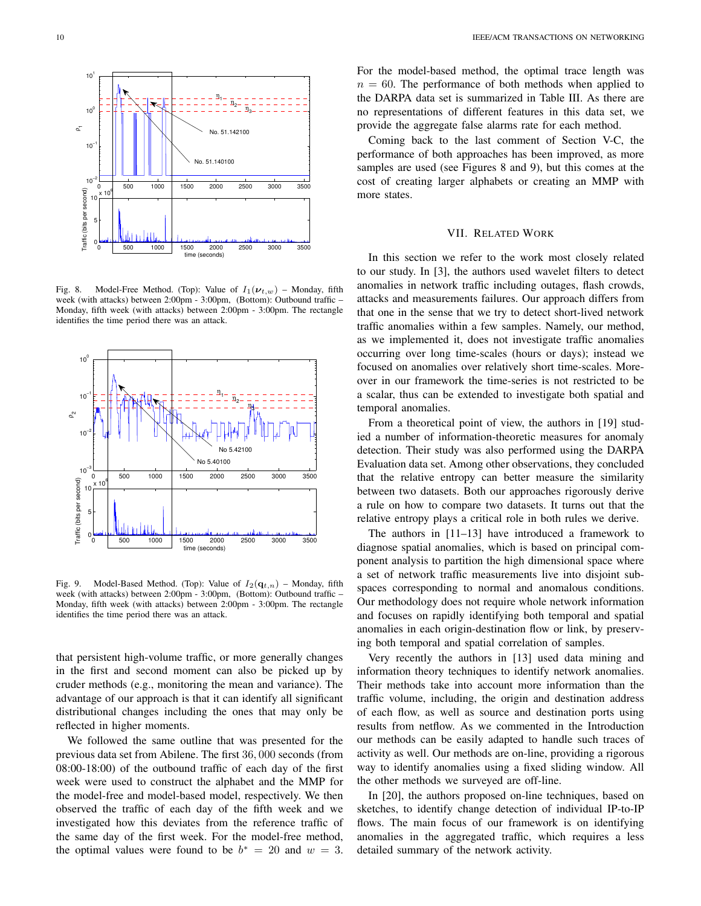

Fig. 8. Model-Free Method. (Top): Value of  $I_1(\nu_{t,w})$  – Monday, fifth week (with attacks) between 2:00pm - 3:00pm, (Bottom): Outbound traffic – Monday, fifth week (with attacks) between 2:00pm - 3:00pm. The rectangle identifies the time period there was an attack.



Fig. 9. Model-Based Method. (Top): Value of  $I_2(\mathbf{q}_{t,n})$  – Monday, fifth week (with attacks) between 2:00pm - 3:00pm, (Bottom): Outbound traffic – Monday, fifth week (with attacks) between 2:00pm - 3:00pm. The rectangle identifies the time period there was an attack.

that persistent high-volume traffic, or more generally changes in the first and second moment can also be picked up by cruder methods (e.g., monitoring the mean and variance). The advantage of our approach is that it can identify all significant distributional changes including the ones that may only be reflected in higher moments.

We followed the same outline that was presented for the previous data set from Abilene. The first 36, 000 seconds (from 08:00-18:00) of the outbound traffic of each day of the first week were used to construct the alphabet and the MMP for the model-free and model-based model, respectively. We then observed the traffic of each day of the fifth week and we investigated how this deviates from the reference traffic of the same day of the first week. For the model-free method, the optimal values were found to be  $b^* = 20$  and  $w = 3$ .

For the model-based method, the optimal trace length was  $n = 60$ . The performance of both methods when applied to the DARPA data set is summarized in Table III. As there are no representations of different features in this data set, we provide the aggregate false alarms rate for each method.

Coming back to the last comment of Section V-C, the performance of both approaches has been improved, as more samples are used (see Figures 8 and 9), but this comes at the cost of creating larger alphabets or creating an MMP with more states.

# VII. RELATED WORK

In this section we refer to the work most closely related to our study. In [3], the authors used wavelet filters to detect anomalies in network traffic including outages, flash crowds, attacks and measurements failures. Our approach differs from that one in the sense that we try to detect short-lived network traffic anomalies within a few samples. Namely, our method, as we implemented it, does not investigate traffic anomalies occurring over long time-scales (hours or days); instead we focused on anomalies over relatively short time-scales. Moreover in our framework the time-series is not restricted to be a scalar, thus can be extended to investigate both spatial and temporal anomalies.

From a theoretical point of view, the authors in [19] studied a number of information-theoretic measures for anomaly detection. Their study was also performed using the DARPA Evaluation data set. Among other observations, they concluded that the relative entropy can better measure the similarity between two datasets. Both our approaches rigorously derive a rule on how to compare two datasets. It turns out that the relative entropy plays a critical role in both rules we derive.

The authors in [11–13] have introduced a framework to diagnose spatial anomalies, which is based on principal component analysis to partition the high dimensional space where a set of network traffic measurements live into disjoint subspaces corresponding to normal and anomalous conditions. Our methodology does not require whole network information and focuses on rapidly identifying both temporal and spatial anomalies in each origin-destination flow or link, by preserving both temporal and spatial correlation of samples.

Very recently the authors in [13] used data mining and information theory techniques to identify network anomalies. Their methods take into account more information than the traffic volume, including, the origin and destination address of each flow, as well as source and destination ports using results from netflow. As we commented in the Introduction our methods can be easily adapted to handle such traces of activity as well. Our methods are on-line, providing a rigorous way to identify anomalies using a fixed sliding window. All the other methods we surveyed are off-line.

In [20], the authors proposed on-line techniques, based on sketches, to identify change detection of individual IP-to-IP flows. The main focus of our framework is on identifying anomalies in the aggregated traffic, which requires a less detailed summary of the network activity.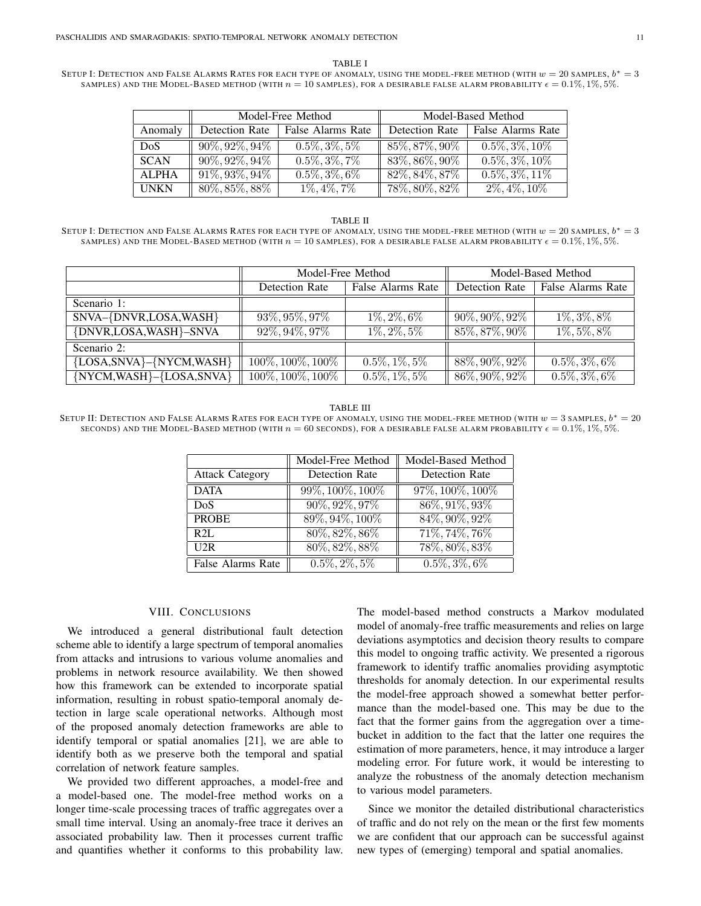TABLE I

SETUP I: DETECTION AND FALSE ALARMS RATES FOR EACH TYPE OF ANOMALY, USING THE MODEL-FREE METHOD (WITH  $w=20$  samples,  $b^*=3$ SAMPLES) AND THE MODEL-BASED METHOD (WITH  $n = 10$  SAMPLES), FOR A DESIRABLE FALSE ALARM PROBABILITY  $\epsilon = 0.1\%, 1\%, 5\%$ .

|              | Model-Free Method     |                   | Model-Based Method |                    |  |
|--------------|-----------------------|-------------------|--------------------|--------------------|--|
| Anomaly      | <b>Detection Rate</b> | False Alarms Rate | Detection Rate     | False Alarms Rate  |  |
| DoS.         | $90\%, 92\%, 94\%$    | $0.5\%, 3\%, 5\%$ | 85%, 87%, 90%      | $0.5\%, 3\%, 10\%$ |  |
| <b>SCAN</b>  | $90\%, 92\%, 94\%$    | $0.5\%, 3\%, 7\%$ | 83\%, 86\%, 90\%   | $0.5\%, 3\%, 10\%$ |  |
| <b>ALPHA</b> | $91\%, 93\%, 94\%$    | $0.5\%, 3\%, 6\%$ | 82\%, 84\%, 87\%   | $0.5\%, 3\%, 11\%$ |  |
| <b>UNKN</b>  | $80\%, 85\%, 88\%$    | $1\%, 4\%, 7\%$   | 78\%, 80\%, 82\%   | $2\%, 4\%, 10\%$   |  |

#### TABLE II

SETUP I: DETECTION AND FALSE ALARMS RATES FOR EACH TYPE OF ANOMALY, USING THE MODEL-FREE METHOD (WITH  $w = 20$  samples,  $b^* = 3$ SAMPLES) AND THE MODEL-BASED METHOD (WITH  $n = 10$  SAMPLES), FOR A DESIRABLE FALSE ALARM PROBABILITY  $\epsilon = 0.1\%, 1\%, 5\%$ .

|                               | Model-Free Method     |                   | Model-Based Method |                   |
|-------------------------------|-----------------------|-------------------|--------------------|-------------------|
|                               | Detection Rate        | False Alarms Rate | Detection Rate     | False Alarms Rate |
| Scenario 1:                   |                       |                   |                    |                   |
| SNVA-{DNVR,LOSA, WASH}        | $93\%, 95\%, 97\%$    | $1\%, 2\%, 6\%$   | $90\%, 90\%, 92\%$ | $1\%, 3\%, 8\%$   |
| {DNVR,LOSA, WASH}-SNVA        | 92\%, 94\%, 97\%      | $1\%, 2\%, 5\%$   | 85\%, 87\%, 90\%   | $1\%, 5\%, 8\%$   |
| Scenario 2:                   |                       |                   |                    |                   |
| ${LOSA, SNVA} - {NYCM, WASH}$ | $100\%, 100\%, 100\%$ | $0.5\%, 1\%, 5\%$ | $88\%, 90\%, 92\%$ | $0.5\%, 3\%, 6\%$ |
| ${NYCM, WASH} - {LOSA, SNVA}$ | $100\%, 100\%, 100\%$ | $0.5\%, 1\%, 5\%$ | $86\%, 90\%, 92\%$ | $0.5\%, 3\%, 6\%$ |

#### TABLE III

SETUP II: DETECTION AND FALSE ALARMS RATES FOR EACH TYPE OF ANOMALY, USING THE MODEL-FREE METHOD (WITH  $w=3$  SAMPLES,  $b^*=20$ SECONDS) AND THE MODEL-BASED METHOD (WITH  $n = 60$  SECONDS), FOR A DESIRABLE FALSE ALARM PROBABILITY  $\epsilon = 0.1\%, 1\%, 5\%$ .

|                        | Model-Free Method     | Model-Based Method              |  |
|------------------------|-----------------------|---------------------------------|--|
| <b>Attack Category</b> | <b>Detection Rate</b> | <b>Detection Rate</b>           |  |
| <b>DATA</b>            | 99%, 100%, 100%       | $\overline{97\%, 100\%, 100\%}$ |  |
| DoS                    | 90%, 92%, 97%         | 86\%, 91\%, 93\%                |  |
| <b>PROBE</b>           | 89%, 94%, 100%        | 84%, 90%, 92%                   |  |
| R2L                    | $80\%, 82\%, 86\%$    | 71%, 74%, 76%                   |  |
| U2R                    | 80%, 82%, 88%         | 78%, 80%, 83%                   |  |
| False Alarms Rate      | $0.5\%, 2\%, 5\%$     | $0.5\%, 3\%, 6\%$               |  |

## VIII. CONCLUSIONS

We introduced a general distributional fault detection scheme able to identify a large spectrum of temporal anomalies from attacks and intrusions to various volume anomalies and problems in network resource availability. We then showed how this framework can be extended to incorporate spatial information, resulting in robust spatio-temporal anomaly detection in large scale operational networks. Although most of the proposed anomaly detection frameworks are able to identify temporal or spatial anomalies [21], we are able to identify both as we preserve both the temporal and spatial correlation of network feature samples.

We provided two different approaches, a model-free and a model-based one. The model-free method works on a longer time-scale processing traces of traffic aggregates over a small time interval. Using an anomaly-free trace it derives an associated probability law. Then it processes current traffic and quantifies whether it conforms to this probability law.

The model-based method constructs a Markov modulated model of anomaly-free traffic measurements and relies on large deviations asymptotics and decision theory results to compare this model to ongoing traffic activity. We presented a rigorous framework to identify traffic anomalies providing asymptotic thresholds for anomaly detection. In our experimental results the model-free approach showed a somewhat better performance than the model-based one. This may be due to the fact that the former gains from the aggregation over a timebucket in addition to the fact that the latter one requires the estimation of more parameters, hence, it may introduce a larger modeling error. For future work, it would be interesting to analyze the robustness of the anomaly detection mechanism to various model parameters.

Since we monitor the detailed distributional characteristics of traffic and do not rely on the mean or the first few moments we are confident that our approach can be successful against new types of (emerging) temporal and spatial anomalies.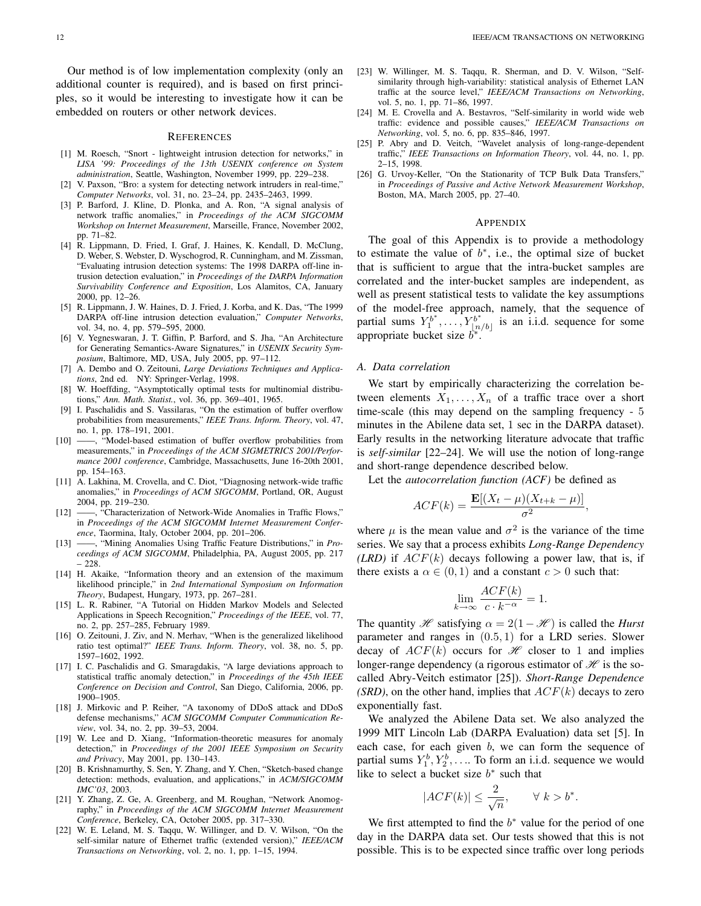Our method is of low implementation complexity (only an additional counter is required), and is based on first principles, so it would be interesting to investigate how it can be embedded on routers or other network devices.

#### **REFERENCES**

- [1] M. Roesch, "Snort lightweight intrusion detection for networks," in *LISA '99: Proceedings of the 13th USENIX conference on System administration*, Seattle, Washington, November 1999, pp. 229–238.
- [2] V. Paxson, "Bro: a system for detecting network intruders in real-time," *Computer Networks*, vol. 31, no. 23–24, pp. 2435–2463, 1999.
- [3] P. Barford, J. Kline, D. Plonka, and A. Ron, "A signal analysis of network traffic anomalies," in *Proceedings of the ACM SIGCOMM Workshop on Internet Measurement*, Marseille, France, November 2002, pp. 71–82.
- [4] R. Lippmann, D. Fried, I. Graf, J. Haines, K. Kendall, D. McClung, D. Weber, S. Webster, D. Wyschogrod, R. Cunningham, and M. Zissman, "Evaluating intrusion detection systems: The 1998 DARPA off-line intrusion detection evaluation," in *Proceedings of the DARPA Information Survivability Conference and Exposition*, Los Alamitos, CA, January 2000, pp. 12–26.
- [5] R. Lippmann, J. W. Haines, D. J. Fried, J. Korba, and K. Das, "The 1999 DARPA off-line intrusion detection evaluation," *Computer Networks*, vol. 34, no. 4, pp. 579–595, 2000.
- [6] V. Yegneswaran, J. T. Giffin, P. Barford, and S. Jha, "An Architecture for Generating Semantics-Aware Signatures," in *USENIX Security Symposium*, Baltimore, MD, USA, July 2005, pp. 97–112.
- [7] A. Dembo and O. Zeitouni, *Large Deviations Techniques and Applications*, 2nd ed. NY: Springer-Verlag, 1998.
- [8] W. Hoeffding, "Asymptotically optimal tests for multinomial distributions," *Ann. Math. Statist.*, vol. 36, pp. 369–401, 1965.
- [9] I. Paschalidis and S. Vassilaras, "On the estimation of buffer overflow probabilities from measurements," *IEEE Trans. Inform. Theory*, vol. 47, no. 1, pp. 178–191, 2001.
- [10] -, "Model-based estimation of buffer overflow probabilities from measurements," in *Proceedings of the ACM SIGMETRICS 2001/Performance 2001 conference*, Cambridge, Massachusetts, June 16-20th 2001, pp. 154–163.
- [11] A. Lakhina, M. Crovella, and C. Diot, "Diagnosing network-wide traffic anomalies," in *Proceedings of ACM SIGCOMM*, Portland, OR, August 2004, pp. 219–230.
- $-$ , "Characterization of Network-Wide Anomalies in Traffic Flows," in *Proceedings of the ACM SIGCOMM Internet Measurement Conference*, Taormina, Italy, October 2004, pp. 201–206.
- [13] ——, "Mining Anomalies Using Traffic Feature Distributions," in *Proceedings of ACM SIGCOMM*, Philadelphia, PA, August 2005, pp. 217 – 228.
- [14] H. Akaike, "Information theory and an extension of the maximum likelihood principle," in *2nd International Symposium on Information Theory*, Budapest, Hungary, 1973, pp. 267–281.
- [15] L. R. Rabiner, "A Tutorial on Hidden Markov Models and Selected Applications in Speech Recognition," *Proceedings of the IEEE*, vol. 77, no. 2, pp. 257–285, February 1989.
- [16] O. Zeitouni, J. Ziv, and N. Merhav, "When is the generalized likelihood ratio test optimal?" *IEEE Trans. Inform. Theory*, vol. 38, no. 5, pp. 1597–1602, 1992.
- [17] I. C. Paschalidis and G. Smaragdakis, "A large deviations approach to statistical traffic anomaly detection," in *Proceedings of the 45th IEEE Conference on Decision and Control*, San Diego, California, 2006, pp. 1900–1905.
- [18] J. Mirkovic and P. Reiher, "A taxonomy of DDoS attack and DDoS defense mechanisms," *ACM SIGCOMM Computer Communication Review*, vol. 34, no. 2, pp. 39–53, 2004.
- [19] W. Lee and D. Xiang, "Information-theoretic measures for anomaly detection," in *Proceedings of the 2001 IEEE Symposium on Security and Privacy*, May 2001, pp. 130–143.
- [20] B. Krishnamurthy, S. Sen, Y. Zhang, and Y. Chen, "Sketch-based change detection: methods, evaluation, and applications," in *ACM/SIGCOMM IMC'03*, 2003.
- [21] Y. Zhang, Z. Ge, A. Greenberg, and M. Roughan, "Network Anomography," in *Proceedings of the ACM SIGCOMM Internet Measurement Conference*, Berkeley, CA, October 2005, pp. 317–330.
- [22] W. E. Leland, M. S. Taqqu, W. Willinger, and D. V. Wilson, "On the self-similar nature of Ethernet traffic (extended version)," *IEEE/ACM Transactions on Networking*, vol. 2, no. 1, pp. 1–15, 1994.
- [23] W. Willinger, M. S. Taqqu, R. Sherman, and D. V. Wilson, "Selfsimilarity through high-variability: statistical analysis of Ethernet LAN traffic at the source level," *IEEE/ACM Transactions on Networking*, vol. 5, no. 1, pp. 71–86, 1997.
- [24] M. E. Crovella and A. Bestavros, "Self-similarity in world wide web traffic: evidence and possible causes," *IEEE/ACM Transactions on Networking*, vol. 5, no. 6, pp. 835–846, 1997.
- [25] P. Abry and D. Veitch, "Wavelet analysis of long-range-dependent traffic," *IEEE Transactions on Information Theory*, vol. 44, no. 1, pp. 2–15, 1998.
- [26] G. Urvoy-Keller, "On the Stationarity of TCP Bulk Data Transfers," in *Proceedings of Passive and Active Network Measurement Workshop*, Boston, MA, March 2005, pp. 27–40.

#### APPENDIX

The goal of this Appendix is to provide a methodology to estimate the value of  $b^*$ , i.e., the optimal size of bucket that is sufficient to argue that the intra-bucket samples are correlated and the inter-bucket samples are independent, as well as present statistical tests to validate the key assumptions of the model-free approach, namely, that the sequence of partial sums  $Y_1^{b^*}, \ldots, Y_{\lfloor n/b \rfloor}^{b^*}$  is an i.i.d. sequence for some appropriate bucket size  $b^*$ .

#### *A. Data correlation*

We start by empirically characterizing the correlation between elements  $X_1, \ldots, X_n$  of a traffic trace over a short time-scale (this may depend on the sampling frequency - 5 minutes in the Abilene data set, 1 sec in the DARPA dataset). Early results in the networking literature advocate that traffic is *self-similar* [22–24]. We will use the notion of long-range and short-range dependence described below.

Let the *autocorrelation function (ACF)* be defined as

$$
ACF(k) = \frac{\mathbf{E}[(X_t - \mu)(X_{t+k} - \mu)]}{\sigma^2},
$$

where  $\mu$  is the mean value and  $\sigma^2$  is the variance of the time series. We say that a process exhibits *Long-Range Dependency (LRD)* if  $ACF(k)$  decays following a power law, that is, if there exists a  $\alpha \in (0,1)$  and a constant  $c > 0$  such that:

$$
\lim_{k \to \infty} \frac{ACF(k)}{c \cdot k^{-\alpha}} = 1.
$$

The quantity  $\mathcal{H}$  satisfying  $\alpha = 2(1 - \mathcal{H})$  is called the *Hurst* parameter and ranges in  $(0.5, 1)$  for a LRD series. Slower decay of  $ACF(k)$  occurs for  $\mathcal H$  closer to 1 and implies longer-range dependency (a rigorous estimator of  $\mathcal H$  is the socalled Abry-Veitch estimator [25]). *Short-Range Dependence (SRD)*, on the other hand, implies that  $ACF(k)$  decays to zero exponentially fast.

We analyzed the Abilene Data set. We also analyzed the 1999 MIT Lincoln Lab (DARPA Evaluation) data set [5]. In each case, for each given  $b$ , we can form the sequence of partial sums  $Y_1^b, Y_2^b, \ldots$  To form an i.i.d. sequence we would like to select a bucket size  $b^*$  such that

$$
|ACF(k)| \le \frac{2}{\sqrt{n}}, \qquad \forall \ k > b^*.
$$

We first attempted to find the  $b^*$  value for the period of one day in the DARPA data set. Our tests showed that this is not possible. This is to be expected since traffic over long periods